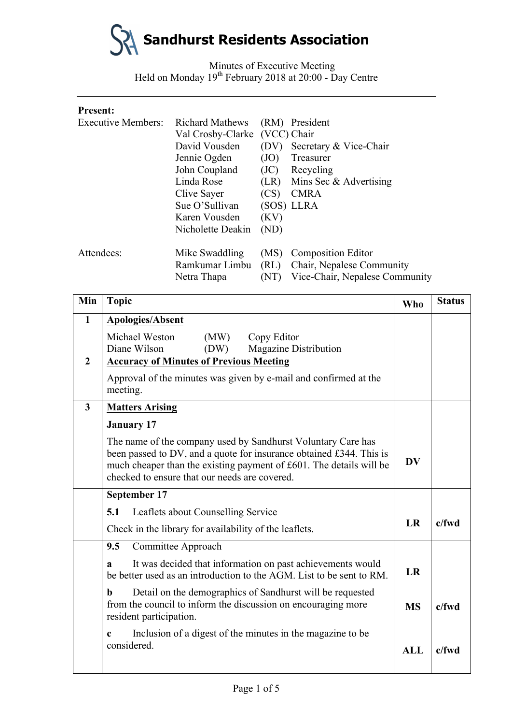

| Chair, Nepalese Community      |
|--------------------------------|
| Vice-Chair, Nepalese Community |
|                                |

| Min            | <b>Topic</b>                                                                                                                                                                                                                                                | <b>Who</b> | <b>Status</b> |
|----------------|-------------------------------------------------------------------------------------------------------------------------------------------------------------------------------------------------------------------------------------------------------------|------------|---------------|
| $\mathbf{1}$   | <b>Apologies/Absent</b>                                                                                                                                                                                                                                     |            |               |
|                | Michael Weston<br>(MW)<br>Copy Editor<br>Diane Wilson<br><b>Magazine Distribution</b><br>(DW)                                                                                                                                                               |            |               |
| $\overline{2}$ | <b>Accuracy of Minutes of Previous Meeting</b>                                                                                                                                                                                                              |            |               |
|                | Approval of the minutes was given by e-mail and confirmed at the<br>meeting.                                                                                                                                                                                |            |               |
| $\mathbf{3}$   | <b>Matters Arising</b>                                                                                                                                                                                                                                      |            |               |
|                | <b>January 17</b>                                                                                                                                                                                                                                           |            |               |
|                | The name of the company used by Sandhurst Voluntary Care has<br>been passed to DV, and a quote for insurance obtained £344. This is<br>much cheaper than the existing payment of £601. The details will be<br>checked to ensure that our needs are covered. | <b>DV</b>  |               |
|                | September 17                                                                                                                                                                                                                                                |            |               |
|                | 5.1<br>Leaflets about Counselling Service                                                                                                                                                                                                                   |            |               |
|                | Check in the library for availability of the leaflets.                                                                                                                                                                                                      | LR         | $c$ /fwd      |
|                | 9.5<br>Committee Approach                                                                                                                                                                                                                                   |            |               |
|                | It was decided that information on past achievements would<br>a<br>be better used as an introduction to the AGM. List to be sent to RM.                                                                                                                     | LR         |               |
|                | Detail on the demographics of Sandhurst will be requested<br>h<br>from the council to inform the discussion on encouraging more<br>resident participation.                                                                                                  | <b>MS</b>  | $c$ /fwd      |
|                | Inclusion of a digest of the minutes in the magazine to be<br>c<br>considered.                                                                                                                                                                              | <b>ALL</b> | $c$ /fwd      |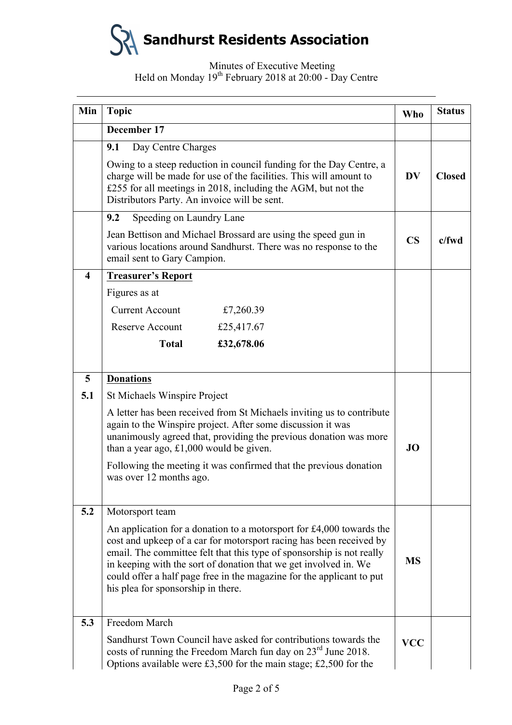**Sandhurst Residents Association**

| Min                     | <b>Topic</b>                                                                                                                                                                                                                                                                                                                                                                                            | <b>Who</b>             | <b>Status</b> |
|-------------------------|---------------------------------------------------------------------------------------------------------------------------------------------------------------------------------------------------------------------------------------------------------------------------------------------------------------------------------------------------------------------------------------------------------|------------------------|---------------|
|                         | December 17                                                                                                                                                                                                                                                                                                                                                                                             |                        |               |
|                         | Day Centre Charges<br>9.1                                                                                                                                                                                                                                                                                                                                                                               |                        |               |
|                         | Owing to a steep reduction in council funding for the Day Centre, a<br>charge will be made for use of the facilities. This will amount to<br>£255 for all meetings in 2018, including the AGM, but not the<br>Distributors Party. An invoice will be sent.                                                                                                                                              | <b>DV</b>              | <b>Closed</b> |
|                         | Speeding on Laundry Lane<br>9.2                                                                                                                                                                                                                                                                                                                                                                         |                        |               |
|                         | Jean Bettison and Michael Brossard are using the speed gun in<br>various locations around Sandhurst. There was no response to the<br>email sent to Gary Campion.                                                                                                                                                                                                                                        | $\overline{\text{CS}}$ | $c$ /fwd      |
| $\overline{\mathbf{4}}$ | <b>Treasurer's Report</b>                                                                                                                                                                                                                                                                                                                                                                               |                        |               |
|                         | Figures as at                                                                                                                                                                                                                                                                                                                                                                                           |                        |               |
|                         | <b>Current Account</b><br>£7,260.39                                                                                                                                                                                                                                                                                                                                                                     |                        |               |
|                         | Reserve Account<br>£25,417.67                                                                                                                                                                                                                                                                                                                                                                           |                        |               |
|                         | <b>Total</b><br>£32,678.06                                                                                                                                                                                                                                                                                                                                                                              |                        |               |
| 5                       | <b>Donations</b>                                                                                                                                                                                                                                                                                                                                                                                        |                        |               |
| 5.1                     | St Michaels Winspire Project                                                                                                                                                                                                                                                                                                                                                                            |                        |               |
|                         | A letter has been received from St Michaels inviting us to contribute<br>again to the Winspire project. After some discussion it was<br>unanimously agreed that, providing the previous donation was more<br>than a year ago, $£1,000$ would be given.                                                                                                                                                  | <b>JO</b>              |               |
|                         | Following the meeting it was confirmed that the previous donation<br>was over 12 months ago.                                                                                                                                                                                                                                                                                                            |                        |               |
| 5.2                     | Motorsport team                                                                                                                                                                                                                                                                                                                                                                                         |                        |               |
|                         | An application for a donation to a motorsport for £4,000 towards the<br>cost and upkeep of a car for motorsport racing has been received by<br>email. The committee felt that this type of sponsorship is not really<br>in keeping with the sort of donation that we get involved in. We<br>could offer a half page free in the magazine for the applicant to put<br>his plea for sponsorship in there. | <b>MS</b>              |               |
| 5.3                     | Freedom March<br>Sandhurst Town Council have asked for contributions towards the<br>costs of running the Freedom March fun day on 23 <sup>rd</sup> June 2018.<br>Options available were $£3,500$ for the main stage; £2,500 for the                                                                                                                                                                     | <b>VCC</b>             |               |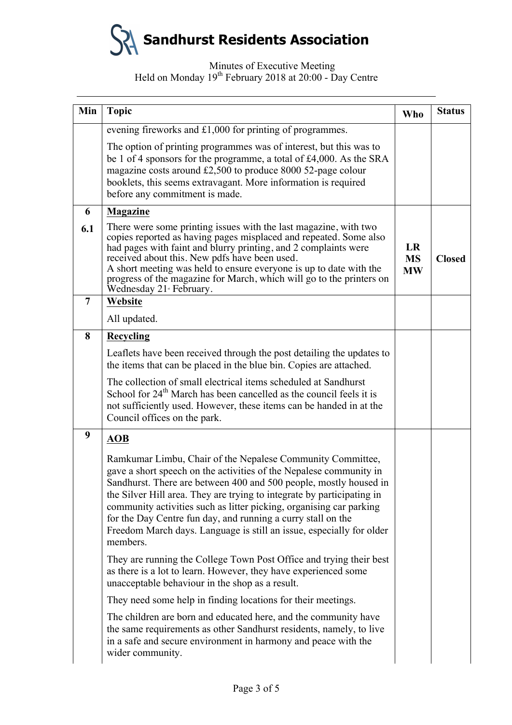**Sandhurst Residents Association**

| Min | <b>Topic</b>                                                                                                                                                                                                                                                                                                                                                                                                                                                                                               | Who                          | <b>Status</b> |
|-----|------------------------------------------------------------------------------------------------------------------------------------------------------------------------------------------------------------------------------------------------------------------------------------------------------------------------------------------------------------------------------------------------------------------------------------------------------------------------------------------------------------|------------------------------|---------------|
|     | evening fireworks and £1,000 for printing of programmes.                                                                                                                                                                                                                                                                                                                                                                                                                                                   |                              |               |
|     | The option of printing programmes was of interest, but this was to<br>be 1 of 4 sponsors for the programme, a total of £4,000. As the SRA<br>magazine costs around £2,500 to produce 8000 52-page colour<br>booklets, this seems extravagant. More information is required<br>before any commitment is made.                                                                                                                                                                                               |                              |               |
| 6   | <b>Magazine</b>                                                                                                                                                                                                                                                                                                                                                                                                                                                                                            |                              |               |
| 6.1 | There were some printing issues with the last magazine, with two<br>copies reported as having pages misplaced and repeated. Some also<br>had pages with faint and blurry printing, and 2 complaints were<br>received about this. New pdfs have been used.<br>A short meeting was held to ensure everyone is up to date with the<br>progress of the magazine for March, which will go to the printers on<br>Wednesday 21 <sup>st</sup> February.                                                            | LR<br><b>MS</b><br><b>MW</b> | <b>Closed</b> |
| 7   | Website                                                                                                                                                                                                                                                                                                                                                                                                                                                                                                    |                              |               |
|     | All updated.                                                                                                                                                                                                                                                                                                                                                                                                                                                                                               |                              |               |
| 8   | Recycling                                                                                                                                                                                                                                                                                                                                                                                                                                                                                                  |                              |               |
|     | Leaflets have been received through the post detailing the updates to<br>the items that can be placed in the blue bin. Copies are attached.                                                                                                                                                                                                                                                                                                                                                                |                              |               |
|     | The collection of small electrical items scheduled at Sandhurst<br>School for 24 <sup>th</sup> March has been cancelled as the council feels it is<br>not sufficiently used. However, these items can be handed in at the<br>Council offices on the park.                                                                                                                                                                                                                                                  |                              |               |
| 9   | <b>AOB</b>                                                                                                                                                                                                                                                                                                                                                                                                                                                                                                 |                              |               |
|     | Ramkumar Limbu, Chair of the Nepalese Community Committee,<br>gave a short speech on the activities of the Nepalese community in<br>Sandhurst. There are between 400 and 500 people, mostly housed in<br>the Silver Hill area. They are trying to integrate by participating in<br>community activities such as litter picking, organising car parking<br>for the Day Centre fun day, and running a curry stall on the<br>Freedom March days. Language is still an issue, especially for older<br>members. |                              |               |
|     | They are running the College Town Post Office and trying their best<br>as there is a lot to learn. However, they have experienced some<br>unacceptable behaviour in the shop as a result.                                                                                                                                                                                                                                                                                                                  |                              |               |
|     | They need some help in finding locations for their meetings.                                                                                                                                                                                                                                                                                                                                                                                                                                               |                              |               |
|     | The children are born and educated here, and the community have<br>the same requirements as other Sandhurst residents, namely, to live<br>in a safe and secure environment in harmony and peace with the<br>wider community.                                                                                                                                                                                                                                                                               |                              |               |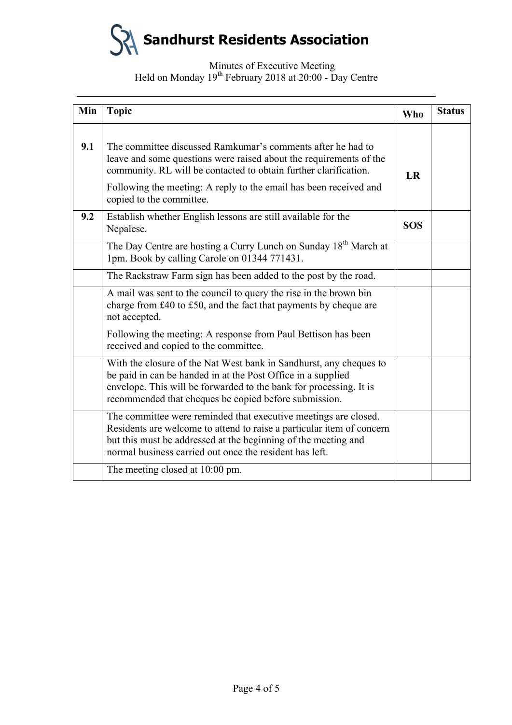**Sandhurst Residents Association**

| Min | <b>Topic</b>                                                                                                                                                                                                                                                                                           | <b>Who</b> | <b>Status</b> |
|-----|--------------------------------------------------------------------------------------------------------------------------------------------------------------------------------------------------------------------------------------------------------------------------------------------------------|------------|---------------|
| 9.1 | The committee discussed Ramkumar's comments after he had to<br>leave and some questions were raised about the requirements of the<br>community. RL will be contacted to obtain further clarification.<br>Following the meeting: A reply to the email has been received and<br>copied to the committee. | LR         |               |
| 9.2 | Establish whether English lessons are still available for the<br>Nepalese.                                                                                                                                                                                                                             | <b>SOS</b> |               |
|     | The Day Centre are hosting a Curry Lunch on Sunday 18 <sup>th</sup> March at<br>1pm. Book by calling Carole on 01344 771431.                                                                                                                                                                           |            |               |
|     | The Rackstraw Farm sign has been added to the post by the road.                                                                                                                                                                                                                                        |            |               |
|     | A mail was sent to the council to query the rise in the brown bin<br>charge from £40 to £50, and the fact that payments by cheque are<br>not accepted.                                                                                                                                                 |            |               |
|     | Following the meeting: A response from Paul Bettison has been<br>received and copied to the committee.                                                                                                                                                                                                 |            |               |
|     | With the closure of the Nat West bank in Sandhurst, any cheques to<br>be paid in can be handed in at the Post Office in a supplied<br>envelope. This will be forwarded to the bank for processing. It is<br>recommended that cheques be copied before submission.                                      |            |               |
|     | The committee were reminded that executive meetings are closed.<br>Residents are welcome to attend to raise a particular item of concern<br>but this must be addressed at the beginning of the meeting and<br>normal business carried out once the resident has left.                                  |            |               |
|     | The meeting closed at 10:00 pm.                                                                                                                                                                                                                                                                        |            |               |